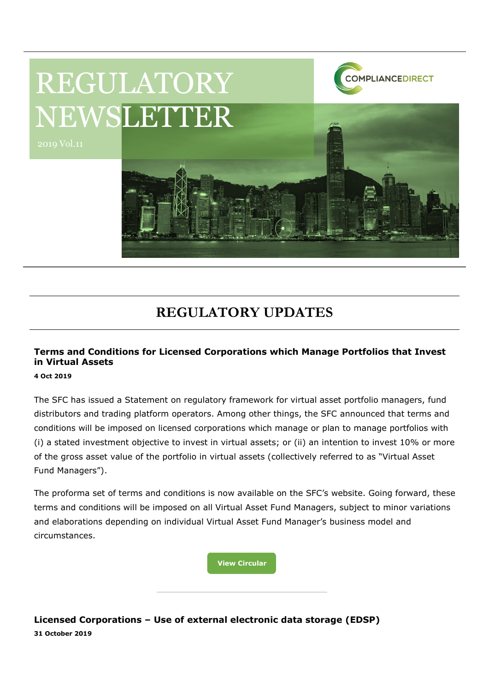

# REGULATORY NEWSLETTER

# **REGULATORY UPDATES**

## **Terms and Conditions for Licensed Corporations which Manage Portfolios that Invest in Virtual Assets**

**4 Oct 2019**

The SFC has issued a Statement on regulatory framework for virtual asset portfolio managers, fund distributors and trading platform operators. Among other things, the SFC announced that terms and conditions will be imposed on licensed corporations which manage or plan to manage portfolios with (i) a stated investment objective to invest in virtual assets; or (ii) an intention to invest 10% or more of the gross asset value of the portfolio in virtual assets (collectively referred to as "Virtual Asset Fund Managers").

The proforma set of terms and conditions is now available on the SFC's website. Going forward, these terms and conditions will be imposed on all Virtual Asset Fund Managers, subject to minor variations and elaborations depending on individual Virtual Asset Fund Manager's business model and circumstances.

**[View Circular](https://www.sfc.hk/edistributionWeb/gateway/EN/circular/intermediaries/supervision/doc?refNo=19EC62)**

**Licensed Corporations – Use of external electronic data storage (EDSP) 31 October 2019**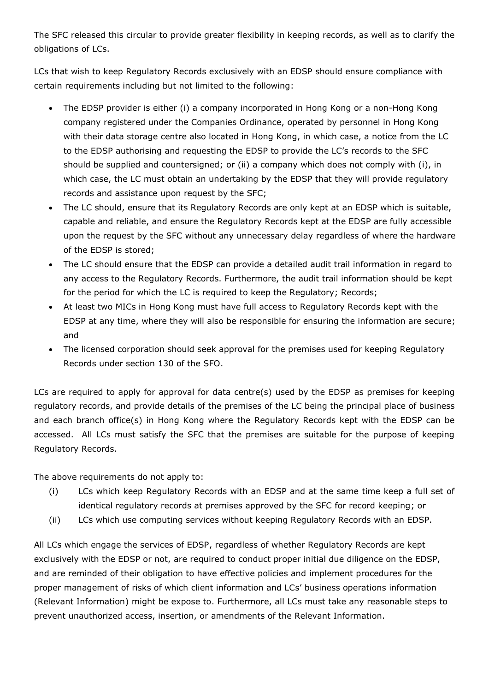The SFC released this circular to provide greater flexibility in keeping records, as well as to clarify the obligations of LCs.

LCs that wish to keep Regulatory Records exclusively with an EDSP should ensure compliance with certain requirements including but not limited to the following:

- The EDSP provider is either (i) a company incorporated in Hong Kong or a non-Hong Kong company registered under the Companies Ordinance, operated by personnel in Hong Kong with their data storage centre also located in Hong Kong, in which case, a notice from the LC to the EDSP authorising and requesting the EDSP to provide the LC's records to the SFC should be supplied and countersigned; or (ii) a company which does not comply with (i), in which case, the LC must obtain an undertaking by the EDSP that they will provide regulatory records and assistance upon request by the SFC;
- The LC should, ensure that its Regulatory Records are only kept at an EDSP which is suitable, capable and reliable, and ensure the Regulatory Records kept at the EDSP are fully accessible upon the request by the SFC without any unnecessary delay regardless of where the hardware of the EDSP is stored;
- The LC should ensure that the EDSP can provide a detailed audit trail information in regard to any access to the Regulatory Records. Furthermore, the audit trail information should be kept for the period for which the LC is required to keep the Regulatory; Records;
- At least two MICs in Hong Kong must have full access to Regulatory Records kept with the EDSP at any time, where they will also be responsible for ensuring the information are secure; and
- The licensed corporation should seek approval for the premises used for keeping Regulatory Records under section 130 of the SFO.

LCs are required to apply for approval for data centre(s) used by the EDSP as premises for keeping regulatory records, and provide details of the premises of the LC being the principal place of business and each branch office(s) in Hong Kong where the Regulatory Records kept with the EDSP can be accessed. All LCs must satisfy the SFC that the premises are suitable for the purpose of keeping Regulatory Records.

The above requirements do not apply to:

- (i) LCs which keep Regulatory Records with an EDSP and at the same time keep a full set of identical regulatory records at premises approved by the SFC for record keeping; or
- (ii) LCs which use computing services without keeping Regulatory Records with an EDSP.

All LCs which engage the services of EDSP, regardless of whether Regulatory Records are kept exclusively with the EDSP or not, are required to conduct proper initial due diligence on the EDSP, and are reminded of their obligation to have effective policies and implement procedures for the proper management of risks of which client information and LCs' business operations information (Relevant Information) might be expose to. Furthermore, all LCs must take any reasonable steps to prevent unauthorized access, insertion, or amendments of the Relevant Information.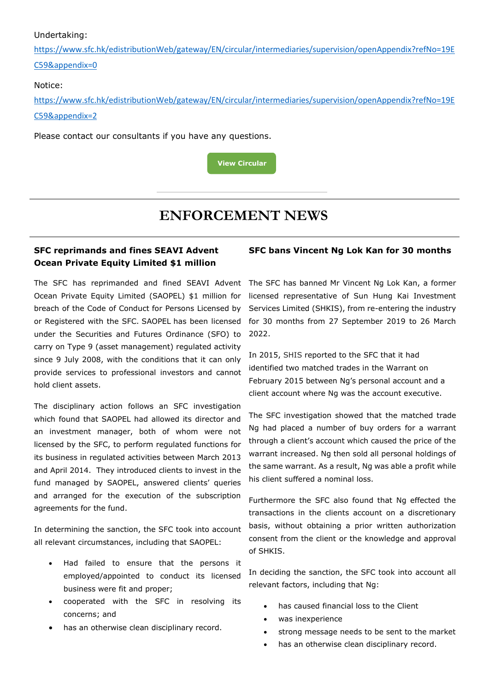#### Undertaking:

[https://www.sfc.hk/edistributionWeb/gateway/EN/circular/intermediaries/supervision/openAppendix?refNo=19E](https://www.sfc.hk/edistributionWeb/gateway/EN/circular/intermediaries/supervision/openAppendix?refNo=19EC59&appendix=0) [C59&appendix=0](https://www.sfc.hk/edistributionWeb/gateway/EN/circular/intermediaries/supervision/openAppendix?refNo=19EC59&appendix=0)

#### Notice:

[https://www.sfc.hk/edistributionWeb/gateway/EN/circular/intermediaries/supervision/openAppendix?refNo=19E](https://www.sfc.hk/edistributionWeb/gateway/EN/circular/intermediaries/supervision/openAppendix?refNo=19EC59&appendix=2) [C59&appendix=2](https://www.sfc.hk/edistributionWeb/gateway/EN/circular/intermediaries/supervision/openAppendix?refNo=19EC59&appendix=2)

Please contact our consultants if you have any questions.



## **ENFORCEMENT NEWS**

### **SFC reprimands and fines SEAVI Advent Ocean Private Equity Limited \$1 million**

Ocean Private Equity Limited (SAOPEL) \$1 million for breach of the Code of Conduct for Persons Licensed by or Registered with the SFC. SAOPEL has been licensed under the Securities and Futures Ordinance (SFO) to carry on Type 9 (asset management) regulated activity since 9 July 2008, with the conditions that it can only provide services to professional investors and cannot hold client assets.

The disciplinary action follows an SFC investigation which found that SAOPEL had allowed its director and an investment manager, both of whom were not licensed by the SFC, to perform regulated functions for its business in regulated activities between March 2013 and April 2014. They introduced clients to invest in the fund managed by SAOPEL, answered clients' queries and arranged for the execution of the subscription agreements for the fund.

In determining the sanction, the SFC took into account all relevant circumstances, including that SAOPEL:

- Had failed to ensure that the persons it employed/appointed to conduct its licensed business were fit and proper;
- cooperated with the SFC in resolving its concerns; and
- has an otherwise clean disciplinary record.

#### **SFC bans Vincent Ng Lok Kan for 30 months**

The SFC has reprimanded and fined SEAVI Advent The SFC has banned Mr Vincent Ng Lok Kan, a former licensed representative of Sun Hung Kai Investment Services Limited (SHKIS), from re-entering the industry for 30 months from 27 September 2019 to 26 March 2022.

> In 2015, SHIS reported to the SFC that it had identified two matched trades in the Warrant on February 2015 between Ng's personal account and a client account where Ng was the account executive.

The SFC investigation showed that the matched trade Ng had placed a number of buy orders for a warrant through a client's account which caused the price of the warrant increased. Ng then sold all personal holdings of the same warrant. As a result, Ng was able a profit while his client suffered a nominal loss.

Furthermore the SFC also found that Ng effected the transactions in the clients account on a discretionary basis, without obtaining a prior written authorization consent from the client or the knowledge and approval of SHKIS.

In deciding the sanction, the SFC took into account all relevant factors, including that Ng:

- has caused financial loss to the Client
- was inexperience
- strong message needs to be sent to the market
- has an otherwise clean disciplinary record.